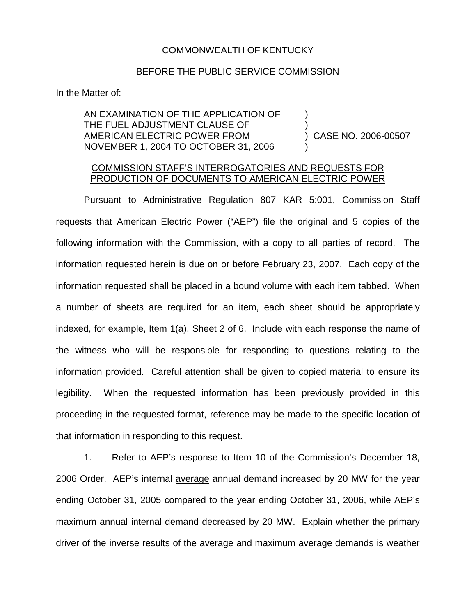## COMMONWEALTH OF KENTUCKY

## BEFORE THE PUBLIC SERVICE COMMISSION

In the Matter of:

AN EXAMINATION OF THE APPLICATION OF THE FUEL ADJUSTMENT CLAUSE OF AMERICAN ELECTRIC POWER FROM NOVEMBER 1, 2004 TO OCTOBER 31, 2006 ) ) ) CASE NO. 2006-00507 )

## COMMISSION STAFF'S INTERROGATORIES AND REQUESTS FOR PRODUCTION OF DOCUMENTS TO AMERICAN ELECTRIC POWER

Pursuant to Administrative Regulation 807 KAR 5:001, Commission Staff requests that American Electric Power ("AEP") file the original and 5 copies of the following information with the Commission, with a copy to all parties of record. The information requested herein is due on or before February 23, 2007. Each copy of the information requested shall be placed in a bound volume with each item tabbed. When a number of sheets are required for an item, each sheet should be appropriately indexed, for example, Item 1(a), Sheet 2 of 6. Include with each response the name of the witness who will be responsible for responding to questions relating to the information provided. Careful attention shall be given to copied material to ensure its legibility. When the requested information has been previously provided in this proceeding in the requested format, reference may be made to the specific location of that information in responding to this request.

1. Refer to AEP's response to Item 10 of the Commission's December 18, 2006 Order. AEP's internal average annual demand increased by 20 MW for the year ending October 31, 2005 compared to the year ending October 31, 2006, while AEP's maximum annual internal demand decreased by 20 MW. Explain whether the primary driver of the inverse results of the average and maximum average demands is weather